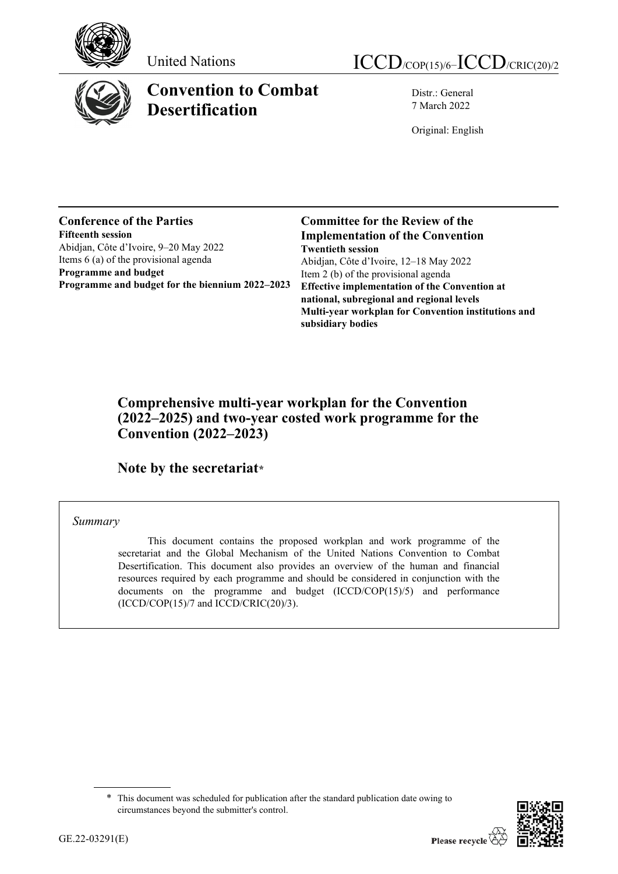



# **Convention to Combat Desertification**

Distr.: General 7 March 2022

Original: English

### **Conference of the Parties Fifteenth session** Abidjan, Côte d'Ivoire, 9–20 May 2022 Items 6 (a) of the provisional agenda **Programme and budget Programme and budget for the biennium 2022–2023**

**Committee for the Review of the Implementation of the Convention Twentieth session** Abidjan, Côte d'Ivoire, 12–18 May 2022 Item 2 (b) of the provisional agenda **Effective implementation of the Convention at national, subregional and regional levels Multi-year workplan for Convention institutions and subsidiary bodies**

# **Comprehensive multi-year workplan for the Convention (2022–2025) and two-year costed work programme for the Convention (2022–2023)**

**Note by the secretaria[t\\*](#page-0-0)**

## *Summary*

This document contains the proposed workplan and work programme of the secretariat and the Global Mechanism of the United Nations Convention to Combat Desertification. This document also provides an overview of the human and financial resources required by each programme and should be considered in conjunction with the documents on the programme and budget (ICCD/COP(15)/5) and performance  $(ICCD/COP(15)/7$  and  $ICCD/CRIC(20)/3)$ .



<span id="page-0-0"></span><sup>\*</sup> This document was scheduled for publication after the standard publication date owing to circumstances beyond the submitter's control.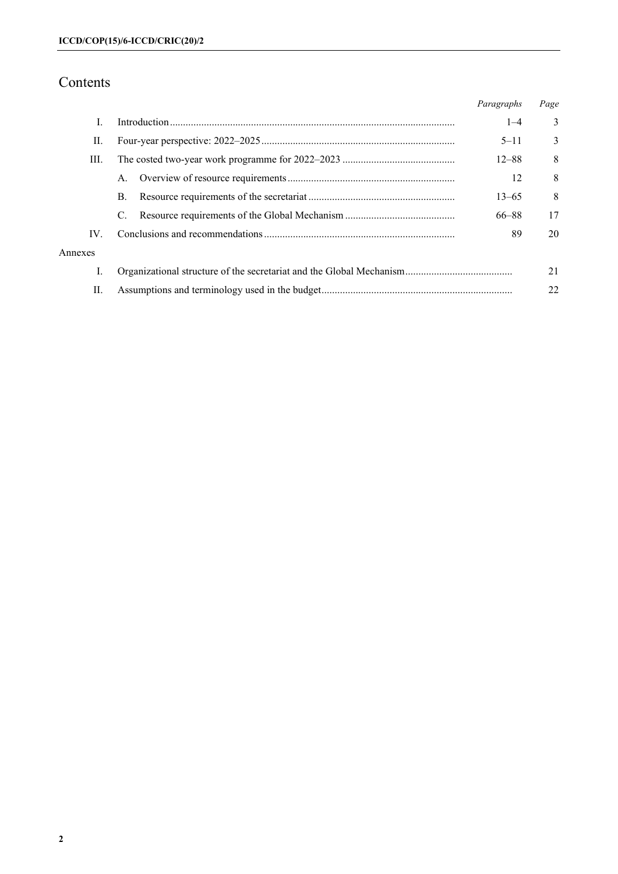# Contents

|         |    | Paragraphs | Page |
|---------|----|------------|------|
| I.      |    | $1 - 4$    | 3    |
| П.      |    | $5 - 11$   | 3    |
| Ш.      |    | $12 - 88$  | 8    |
|         | A. | 12         | 8    |
|         | В. | $13 - 65$  | 8    |
|         | C. | 66-88      | 17   |
| IV.     |    | 89         | 20   |
| Annexes |    |            |      |
| I.      |    |            | 21   |
| П.      |    |            | 22   |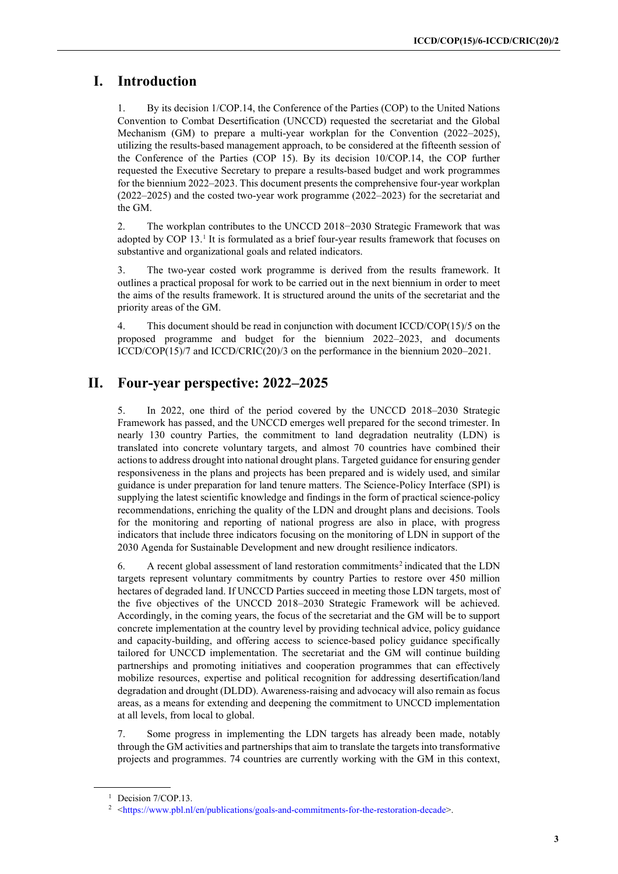# **I. Introduction**

1. By its decision 1/COP.14, the Conference of the Parties (COP) to the United Nations Convention to Combat Desertification (UNCCD) requested the secretariat and the Global Mechanism (GM) to prepare a multi-year workplan for the Convention (2022–2025), utilizing the results-based management approach, to be considered at the fifteenth session of the Conference of the Parties (COP 15). By its decision 10/COP.14, the COP further requested the Executive Secretary to prepare a results-based budget and work programmes for the biennium 2022–2023. This document presents the comprehensive four-year workplan (2022–2025) and the costed two-year work programme (2022–2023) for the secretariat and the GM.

2. The workplan contributes to the UNCCD 2018−2030 Strategic Framework that was adopted by COP [1](#page-2-0)3.<sup>1</sup> It is formulated as a brief four-year results framework that focuses on substantive and organizational goals and related indicators.

3. The two-year costed work programme is derived from the results framework. It outlines a practical proposal for work to be carried out in the next biennium in order to meet the aims of the results framework. It is structured around the units of the secretariat and the priority areas of the GM.

4. This document should be read in conjunction with document ICCD/COP(15)/5 on the proposed programme and budget for the biennium 2022–2023, and documents ICCD/COP(15)/7 and ICCD/CRIC(20)/3 on the performance in the biennium 2020–2021.

# **II. Four-year perspective: 2022–2025**

5. In 2022, one third of the period covered by the UNCCD 2018–2030 Strategic Framework has passed, and the UNCCD emerges well prepared for the second trimester. In nearly 130 country Parties, the commitment to land degradation neutrality (LDN) is translated into concrete voluntary targets, and almost 70 countries have combined their actions to address drought into national drought plans. Targeted guidance for ensuring gender responsiveness in the plans and projects has been prepared and is widely used, and similar guidance is under preparation for land tenure matters. The Science-Policy Interface (SPI) is supplying the latest scientific knowledge and findings in the form of practical science-policy recommendations, enriching the quality of the LDN and drought plans and decisions. Tools for the monitoring and reporting of national progress are also in place, with progress indicators that include three indicators focusing on the monitoring of LDN in support of the 2030 Agenda for Sustainable Development and new drought resilience indicators.

6. A recent global assessment of land restoration commitments<sup>[2](#page-2-1)</sup> indicated that the LDN targets represent voluntary commitments by country Parties to restore over 450 million hectares of degraded land. If UNCCD Parties succeed in meeting those LDN targets, most of the five objectives of the UNCCD 2018–2030 Strategic Framework will be achieved. Accordingly, in the coming years, the focus of the secretariat and the GM will be to support concrete implementation at the country level by providing technical advice, policy guidance and capacity-building, and offering access to science-based policy guidance specifically tailored for UNCCD implementation. The secretariat and the GM will continue building partnerships and promoting initiatives and cooperation programmes that can effectively mobilize resources, expertise and political recognition for addressing desertification/land degradation and drought (DLDD). Awareness-raising and advocacy will also remain as focus areas, as a means for extending and deepening the commitment to UNCCD implementation at all levels, from local to global.

7. Some progress in implementing the LDN targets has already been made, notably through the GM activities and partnerships that aim to translate the targets into transformative projects and programmes. 74 countries are currently working with the GM in this context,

<span id="page-2-0"></span><sup>&</sup>lt;sup>1</sup> Decision 7/COP.13.

<span id="page-2-1"></span><sup>&</sup>lt;sup>2</sup> [<https://www.pbl.nl/en/publications/goals-and-commitments-for-the-restoration-decade>](https://www.pbl.nl/en/publications/goals-and-commitments-for-the-restoration-decade).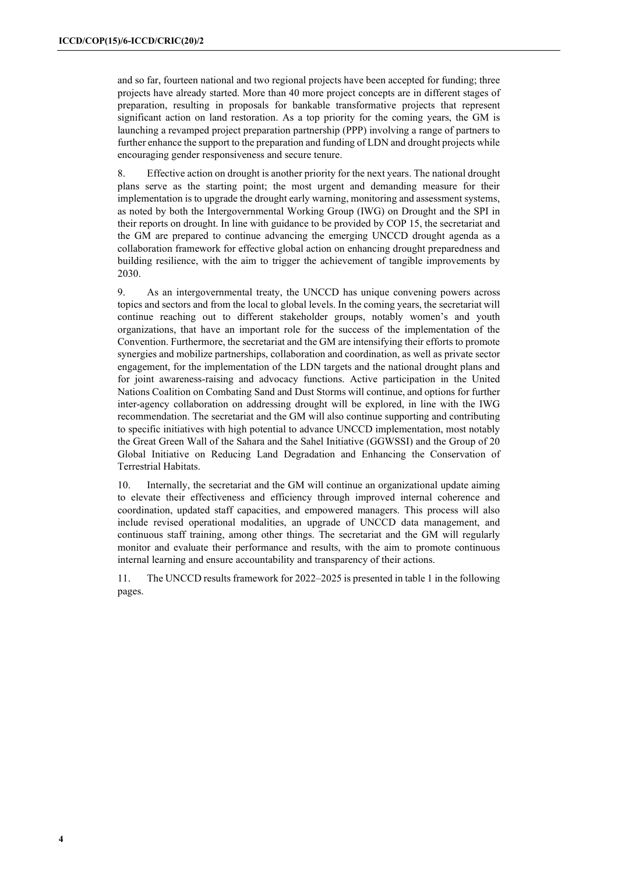and so far, fourteen national and two regional projects have been accepted for funding; three projects have already started. More than 40 more project concepts are in different stages of preparation, resulting in proposals for bankable transformative projects that represent significant action on land restoration. As a top priority for the coming years, the GM is launching a revamped project preparation partnership (PPP) involving a range of partners to further enhance the support to the preparation and funding of LDN and drought projects while encouraging gender responsiveness and secure tenure.

8. Effective action on drought is another priority for the next years. The national drought plans serve as the starting point; the most urgent and demanding measure for their implementation is to upgrade the drought early warning, monitoring and assessment systems, as noted by both the Intergovernmental Working Group (IWG) on Drought and the SPI in their reports on drought. In line with guidance to be provided by COP 15, the secretariat and the GM are prepared to continue advancing the emerging UNCCD drought agenda as a collaboration framework for effective global action on enhancing drought preparedness and building resilience, with the aim to trigger the achievement of tangible improvements by 2030.

9. As an intergovernmental treaty, the UNCCD has unique convening powers across topics and sectors and from the local to global levels. In the coming years, the secretariat will continue reaching out to different stakeholder groups, notably women's and youth organizations, that have an important role for the success of the implementation of the Convention. Furthermore, the secretariat and the GM are intensifying their efforts to promote synergies and mobilize partnerships, collaboration and coordination, as well as private sector engagement, for the implementation of the LDN targets and the national drought plans and for joint awareness-raising and advocacy functions. Active participation in the United Nations Coalition on Combating Sand and Dust Storms will continue, and options for further inter-agency collaboration on addressing drought will be explored, in line with the IWG recommendation. The secretariat and the GM will also continue supporting and contributing to specific initiatives with high potential to advance UNCCD implementation, most notably the Great Green Wall of the Sahara and the Sahel Initiative (GGWSSI) and the Group of 20 Global Initiative on Reducing Land Degradation and Enhancing the Conservation of Terrestrial Habitats.

10. Internally, the secretariat and the GM will continue an organizational update aiming to elevate their effectiveness and efficiency through improved internal coherence and coordination, updated staff capacities, and empowered managers. This process will also include revised operational modalities, an upgrade of UNCCD data management, and continuous staff training, among other things. The secretariat and the GM will regularly monitor and evaluate their performance and results, with the aim to promote continuous internal learning and ensure accountability and transparency of their actions.

11. The UNCCD results framework for 2022–2025 is presented in table 1 in the following pages.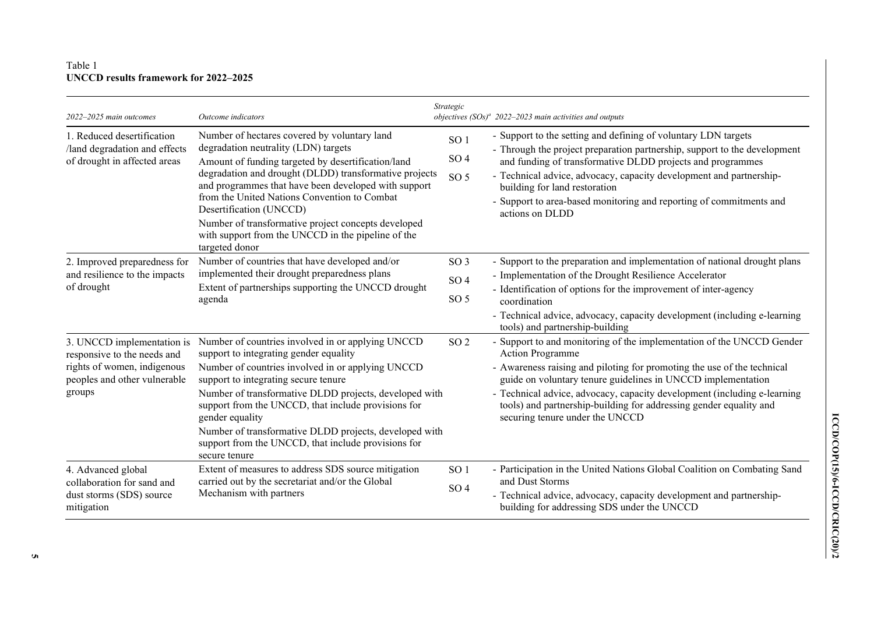## Table 1 **UNCCD results framework for 2022–2025**

| 2022-2025 main outcomes                                                                                                            | Outcome indicators                                                                                                                                                                                                                                                                                                                                                                                                                                                     | Strategic                                             | objectives $(SOs)^{a}$ 2022-2023 main activities and outputs                                                                                                                                                                                                                                                                                                                                                                     |
|------------------------------------------------------------------------------------------------------------------------------------|------------------------------------------------------------------------------------------------------------------------------------------------------------------------------------------------------------------------------------------------------------------------------------------------------------------------------------------------------------------------------------------------------------------------------------------------------------------------|-------------------------------------------------------|----------------------------------------------------------------------------------------------------------------------------------------------------------------------------------------------------------------------------------------------------------------------------------------------------------------------------------------------------------------------------------------------------------------------------------|
| 1. Reduced desertification<br>/land degradation and effects<br>of drought in affected areas                                        | Number of hectares covered by voluntary land<br>degradation neutrality (LDN) targets<br>Amount of funding targeted by desertification/land<br>degradation and drought (DLDD) transformative projects<br>and programmes that have been developed with support<br>from the United Nations Convention to Combat<br>Desertification (UNCCD)<br>Number of transformative project concepts developed<br>with support from the UNCCD in the pipeline of the<br>targeted donor | SO <sub>1</sub><br>SO <sub>4</sub><br>SO <sub>5</sub> | - Support to the setting and defining of voluntary LDN targets<br>- Through the project preparation partnership, support to the development<br>and funding of transformative DLDD projects and programmes<br>- Technical advice, advocacy, capacity development and partnership-<br>building for land restoration<br>- Support to area-based monitoring and reporting of commitments and<br>actions on DLDD                      |
| 2. Improved preparedness for<br>and resilience to the impacts<br>of drought                                                        | Number of countries that have developed and/or<br>implemented their drought preparedness plans<br>Extent of partnerships supporting the UNCCD drought<br>agenda                                                                                                                                                                                                                                                                                                        | SO <sub>3</sub><br>SO <sub>4</sub><br>SO <sub>5</sub> | - Support to the preparation and implementation of national drought plans<br>- Implementation of the Drought Resilience Accelerator<br>- Identification of options for the improvement of inter-agency<br>coordination<br>- Technical advice, advocacy, capacity development (including e-learning<br>tools) and partnership-building                                                                                            |
| 3. UNCCD implementation is<br>responsive to the needs and<br>rights of women, indigenous<br>peoples and other vulnerable<br>groups | Number of countries involved in or applying UNCCD<br>support to integrating gender equality<br>Number of countries involved in or applying UNCCD<br>support to integrating secure tenure<br>Number of transformative DLDD projects, developed with<br>support from the UNCCD, that include provisions for<br>gender equality<br>Number of transformative DLDD projects, developed with<br>support from the UNCCD, that include provisions for<br>secure tenure         | SO <sub>2</sub>                                       | - Support to and monitoring of the implementation of the UNCCD Gender<br><b>Action Programme</b><br>- Awareness raising and piloting for promoting the use of the technical<br>guide on voluntary tenure guidelines in UNCCD implementation<br>- Technical advice, advocacy, capacity development (including e-learning<br>tools) and partnership-building for addressing gender equality and<br>securing tenure under the UNCCD |
| 4. Advanced global<br>collaboration for sand and<br>dust storms (SDS) source<br>mitigation                                         | Extent of measures to address SDS source mitigation<br>carried out by the secretariat and/or the Global<br>Mechanism with partners                                                                                                                                                                                                                                                                                                                                     | SO <sub>1</sub><br>SO <sub>4</sub>                    | - Participation in the United Nations Global Coalition on Combating Sand<br>and Dust Storms<br>- Technical advice, advocacy, capacity development and partnership-<br>building for addressing SDS under the UNCCD                                                                                                                                                                                                                |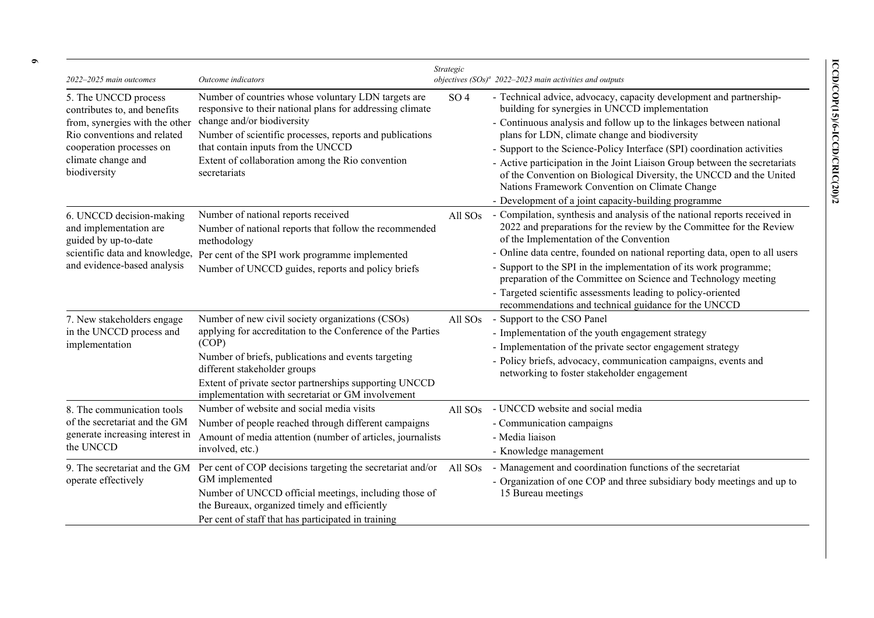| 2022-2025 main outcomes                                                                                                                                                                 | Outcome indicators                                                                                                                                                                                                                                                                                                             | Strategic           | objectives $(SOs)^{a}$ 2022–2023 main activities and outputs                                                                                                                                                                                                                                                                                                                                                                                                                                                                                                                              |
|-----------------------------------------------------------------------------------------------------------------------------------------------------------------------------------------|--------------------------------------------------------------------------------------------------------------------------------------------------------------------------------------------------------------------------------------------------------------------------------------------------------------------------------|---------------------|-------------------------------------------------------------------------------------------------------------------------------------------------------------------------------------------------------------------------------------------------------------------------------------------------------------------------------------------------------------------------------------------------------------------------------------------------------------------------------------------------------------------------------------------------------------------------------------------|
| 5. The UNCCD process<br>contributes to, and benefits<br>from, synergies with the other<br>Rio conventions and related<br>cooperation processes on<br>climate change and<br>biodiversity | Number of countries whose voluntary LDN targets are<br>responsive to their national plans for addressing climate<br>change and/or biodiversity<br>Number of scientific processes, reports and publications<br>that contain inputs from the UNCCD<br>Extent of collaboration among the Rio convention<br>secretariats           | SO <sub>4</sub>     | - Technical advice, advocacy, capacity development and partnership-<br>building for synergies in UNCCD implementation<br>- Continuous analysis and follow up to the linkages between national<br>plans for LDN, climate change and biodiversity<br>- Support to the Science-Policy Interface (SPI) coordination activities<br>- Active participation in the Joint Liaison Group between the secretariats<br>of the Convention on Biological Diversity, the UNCCD and the United<br>Nations Framework Convention on Climate Change<br>- Development of a joint capacity-building programme |
| 6. UNCCD decision-making<br>and implementation are<br>guided by up-to-date<br>scientific data and knowledge,<br>and evidence-based analysis                                             | Number of national reports received<br>Number of national reports that follow the recommended<br>methodology<br>Per cent of the SPI work programme implemented<br>Number of UNCCD guides, reports and policy briefs                                                                                                            | All SO <sub>s</sub> | - Compilation, synthesis and analysis of the national reports received in<br>2022 and preparations for the review by the Committee for the Review<br>of the Implementation of the Convention<br>- Online data centre, founded on national reporting data, open to all users<br>- Support to the SPI in the implementation of its work programme;<br>preparation of the Committee on Science and Technology meeting<br>- Targeted scientific assessments leading to policy-oriented<br>recommendations and technical guidance for the UNCCD                                                |
| 7. New stakeholders engage<br>in the UNCCD process and<br>implementation                                                                                                                | Number of new civil society organizations (CSOs)<br>applying for accreditation to the Conference of the Parties<br>(COP)<br>Number of briefs, publications and events targeting<br>different stakeholder groups<br>Extent of private sector partnerships supporting UNCCD<br>implementation with secretariat or GM involvement | All SO <sub>s</sub> | - Support to the CSO Panel<br>- Implementation of the youth engagement strategy<br>- Implementation of the private sector engagement strategy<br>- Policy briefs, advocacy, communication campaigns, events and<br>networking to foster stakeholder engagement                                                                                                                                                                                                                                                                                                                            |
| 8. The communication tools<br>of the secretariat and the GM<br>generate increasing interest in<br>the UNCCD                                                                             | Number of website and social media visits<br>Number of people reached through different campaigns<br>Amount of media attention (number of articles, journalists<br>involved, etc.)                                                                                                                                             | All SO <sub>s</sub> | - UNCCD website and social media<br>- Communication campaigns<br>- Media liaison<br>- Knowledge management                                                                                                                                                                                                                                                                                                                                                                                                                                                                                |
| operate effectively                                                                                                                                                                     | 9. The secretariat and the GM Per cent of COP decisions targeting the secretariat and/or<br>GM implemented<br>Number of UNCCD official meetings, including those of<br>the Bureaux, organized timely and efficiently<br>Per cent of staff that has participated in training                                                    | All SO <sub>s</sub> | - Management and coordination functions of the secretariat<br>- Organization of one COP and three subsidiary body meetings and up to<br>15 Bureau meetings                                                                                                                                                                                                                                                                                                                                                                                                                                |

**6**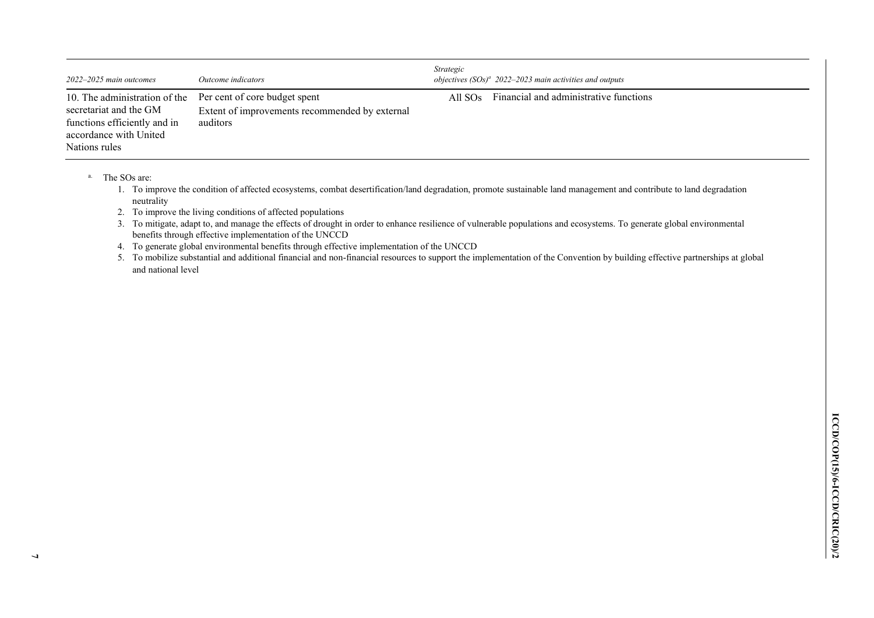| $2022 - 2025$ main outcomes                                                                                                                                      | Outcome indicators                                         | <i>Strategic</i> | objectives $(SOs)^a$ 2022–2023 main activities and outputs |
|------------------------------------------------------------------------------------------------------------------------------------------------------------------|------------------------------------------------------------|------------------|------------------------------------------------------------|
| 10. The administration of the Per cent of core budget spent<br>secretariat and the GM<br>functions efficiently and in<br>accordance with United<br>Nations rules | Extent of improvements recommended by external<br>auditors | All $SOS$        | Financial and administrative functions                     |

a. The SOs are:

1. To improve the condition of affected ecosystems, combat desertification/land degradation, promote sustainable land management and contribute to land degradation neutrality

2. To improve the living conditions of affected populations

3. To mitigate, adapt to, and manage the effects of drought in order to enhance resilience of vulnerable populations and ecosystems. To generate global environmental benefits through effective implementation of the UNCCD

4. To generate global environmental benefits through effective implementation of the UNCCD

5. To mobilize substantial and additional financial and non-financial resources to support the implementation of the Convention by building effective partnerships at global and national level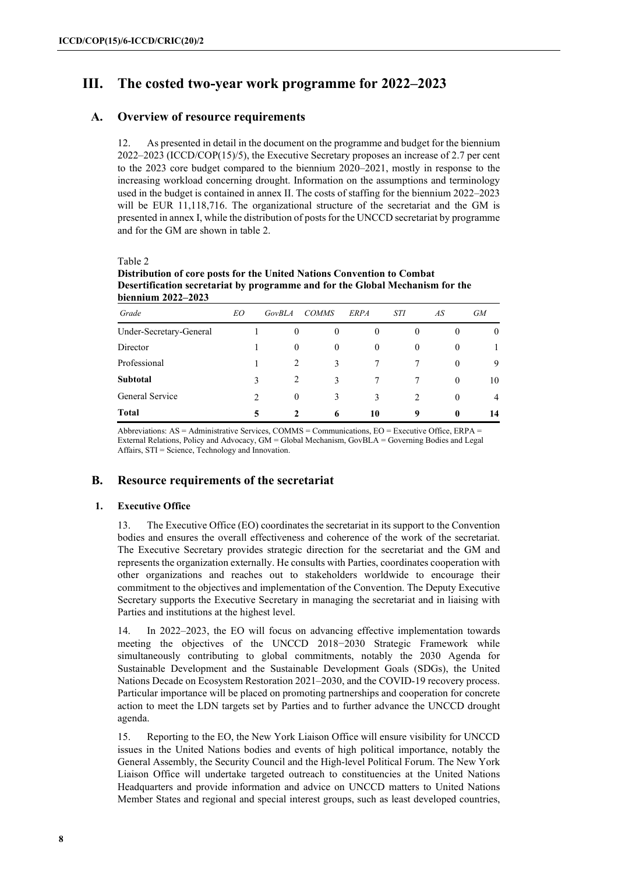# **III. The costed two-year work programme for 2022–2023**

## **A. Overview of resource requirements**

12. As presented in detail in the document on the programme and budget for the biennium 2022–2023 (ICCD/COP(15)/5), the Executive Secretary proposes an increase of 2.7 per cent to the 2023 core budget compared to the biennium 2020–2021, mostly in response to the increasing workload concerning drought. Information on the assumptions and terminology used in the budget is contained in annex II. The costs of staffing for the biennium 2022–2023 will be EUR 11,118,716. The organizational structure of the secretariat and the GM is presented in annex I, while the distribution of posts for the UNCCD secretariat by programme and for the GM are shown in table 2.

Table 2

**Distribution of core posts for the United Nations Convention to Combat Desertification secretariat by programme and for the Global Mechanism for the biennium 2022–2023**

| Grade                   | EO             | GovBLA       | <b>COMMS</b> | <b>ERPA</b>    | <b>STI</b>     | AS           | <b>GM</b>    |
|-------------------------|----------------|--------------|--------------|----------------|----------------|--------------|--------------|
| Under-Secretary-General |                | $\mathbf{0}$ | $\mathbf{0}$ | $\overline{0}$ | $\theta$       | $\theta$     | $\mathbf{0}$ |
| Director                |                | $\theta$     | $\mathbf{0}$ | $\overline{0}$ | $\overline{0}$ | $\theta$     |              |
| Professional            |                | 2            | 3            |                |                | $\theta$     | 9            |
| <b>Subtotal</b>         |                | 2            | 3            |                |                | $\Omega$     | 10           |
| General Service         | $\mathfrak{D}$ | $\theta$     | 3            | 3              | $\mathcal{L}$  | $\theta$     | 4            |
| <b>Total</b>            | 5              | 2            | 6            | 10             | 9              | $\mathbf{0}$ | 14           |

Abbreviations: AS = Administrative Services, COMMS = Communications, EO = Executive Office, ERPA = External Relations, Policy and Advocacy, GM = Global Mechanism, GovBLA = Governing Bodies and Legal Affairs, STI = Science, Technology and Innovation.

## **B. Resource requirements of the secretariat**

#### **1. Executive Office**

13. The Executive Office (EO) coordinates the secretariat in its support to the Convention bodies and ensures the overall effectiveness and coherence of the work of the secretariat. The Executive Secretary provides strategic direction for the secretariat and the GM and represents the organization externally. He consults with Parties, coordinates cooperation with other organizations and reaches out to stakeholders worldwide to encourage their commitment to the objectives and implementation of the Convention. The Deputy Executive Secretary supports the Executive Secretary in managing the secretariat and in liaising with Parties and institutions at the highest level.

14. In 2022–2023, the EO will focus on advancing effective implementation towards meeting the objectives of the UNCCD 2018−2030 Strategic Framework while simultaneously contributing to global commitments, notably the 2030 Agenda for Sustainable Development and the Sustainable Development Goals (SDGs), the United Nations Decade on Ecosystem Restoration 2021–2030, and the COVID-19 recovery process. Particular importance will be placed on promoting partnerships and cooperation for concrete action to meet the LDN targets set by Parties and to further advance the UNCCD drought agenda.

15. Reporting to the EO, the New York Liaison Office will ensure visibility for UNCCD issues in the United Nations bodies and events of high political importance, notably the General Assembly, the Security Council and the High-level Political Forum. The New York Liaison Office will undertake targeted outreach to constituencies at the United Nations Headquarters and provide information and advice on UNCCD matters to United Nations Member States and regional and special interest groups, such as least developed countries,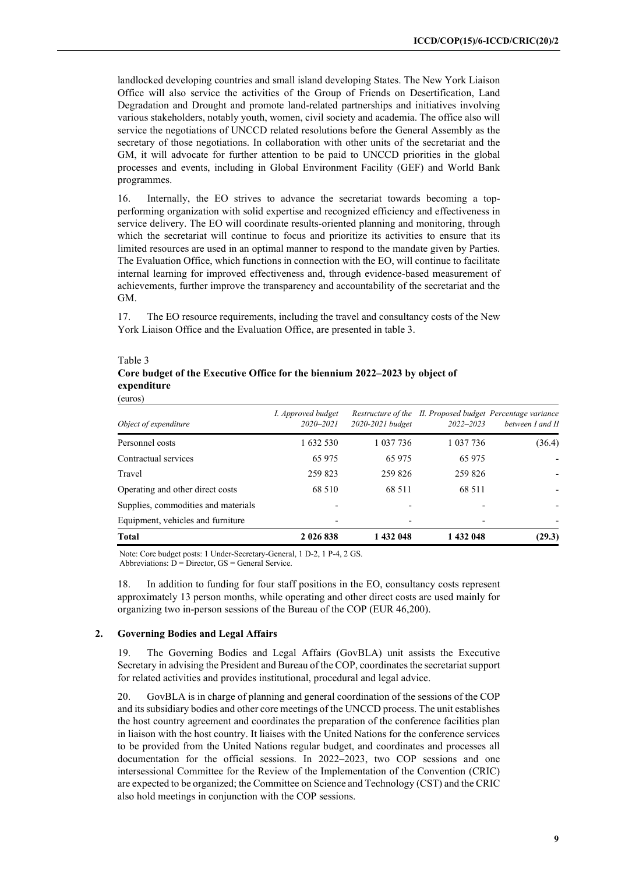landlocked developing countries and small island developing States. The New York Liaison Office will also service the activities of the Group of Friends on Desertification, Land Degradation and Drought and promote land-related partnerships and initiatives involving various stakeholders, notably youth, women, civil society and academia. The office also will service the negotiations of UNCCD related resolutions before the General Assembly as the secretary of those negotiations. In collaboration with other units of the secretariat and the GM, it will advocate for further attention to be paid to UNCCD priorities in the global processes and events, including in Global Environment Facility (GEF) and World Bank programmes.

16. Internally, the EO strives to advance the secretariat towards becoming a topperforming organization with solid expertise and recognized efficiency and effectiveness in service delivery. The EO will coordinate results-oriented planning and monitoring, through which the secretariat will continue to focus and prioritize its activities to ensure that its limited resources are used in an optimal manner to respond to the mandate given by Parties. The Evaluation Office, which functions in connection with the EO, will continue to facilitate internal learning for improved effectiveness and, through evidence-based measurement of achievements, further improve the transparency and accountability of the secretariat and the GM.

17. The EO resource requirements, including the travel and consultancy costs of the New York Liaison Office and the Evaluation Office, are presented in table 3.

| Personnel costs                     | 1 632 530 | 1 0 3 7 7 3 6 | 1 0 3 7 7 3 6 | (36.4) |
|-------------------------------------|-----------|---------------|---------------|--------|
|                                     |           |               |               |        |
| Contractual services                | 65 9 75   | 65 975        | 65 975        |        |
| Travel                              | 259 823   | 259 826       | 259 826       |        |
| Operating and other direct costs    | 68.510    | 68.511        | 68 511        |        |
| Supplies, commodities and materials |           |               |               |        |
| Equipment, vehicles and furniture   |           |               |               |        |
| <b>Total</b>                        | 2 026 838 | 1 432 048     | 1 432 048     | (29.3) |

#### Table 3 **Core budget of the Executive Office for the biennium 2022–2023 by object of expenditure**   $(\omega_{\text{meas}})$

Note: Core budget posts: 1 Under-Secretary-General, 1 D-2, 1 P-4, 2 GS. Abbreviations:  $D =$  Director,  $GS =$  General Service.

18. In addition to funding for four staff positions in the EO, consultancy costs represent approximately 13 person months, while operating and other direct costs are used mainly for organizing two in-person sessions of the Bureau of the COP (EUR 46,200).

#### **2. Governing Bodies and Legal Affairs**

19. The Governing Bodies and Legal Affairs (GovBLA) unit assists the Executive Secretary in advising the President and Bureau of the COP, coordinates the secretariat support for related activities and provides institutional, procedural and legal advice.

20. GovBLA is in charge of planning and general coordination of the sessions of the COP and its subsidiary bodies and other core meetings of the UNCCD process. The unit establishes the host country agreement and coordinates the preparation of the conference facilities plan in liaison with the host country. It liaises with the United Nations for the conference services to be provided from the United Nations regular budget, and coordinates and processes all documentation for the official sessions. In 2022–2023, two COP sessions and one intersessional Committee for the Review of the Implementation of the Convention (CRIC) are expected to be organized; the Committee on Science and Technology (CST) and the CRIC also hold meetings in conjunction with the COP sessions.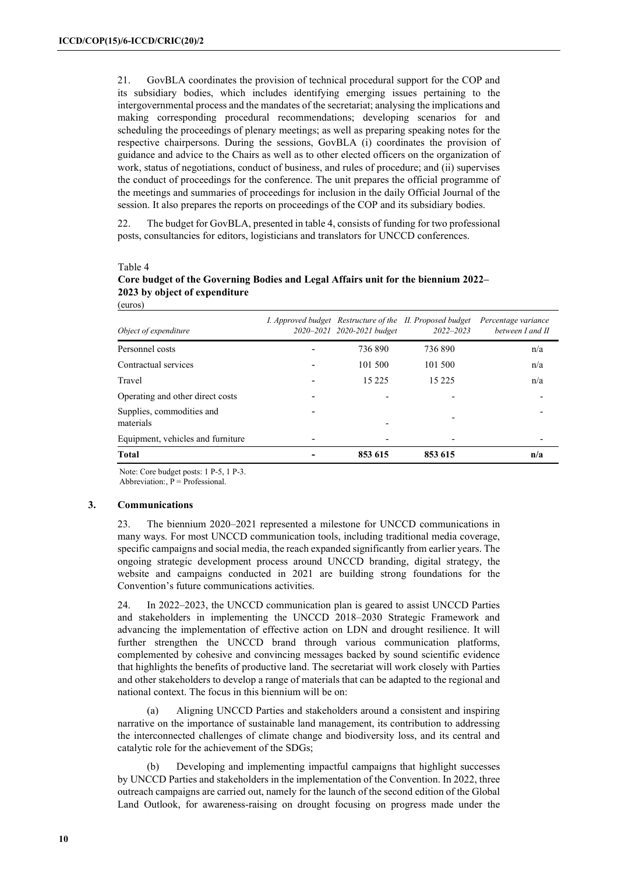21. GovBLA coordinates the provision of technical procedural support for the COP and its subsidiary bodies, which includes identifying emerging issues pertaining to the intergovernmental process and the mandates of the secretariat; analysing the implications and making corresponding procedural recommendations; developing scenarios for and scheduling the proceedings of plenary meetings; as well as preparing speaking notes for the respective chairpersons. During the sessions, GovBLA (i) coordinates the provision of guidance and advice to the Chairs as well as to other elected officers on the organization of work, status of negotiations, conduct of business, and rules of procedure; and (ii) supervises the conduct of proceedings for the conference. The unit prepares the official programme of the meetings and summaries of proceedings for inclusion in the daily Official Journal of the session. It also prepares the reports on proceedings of the COP and its subsidiary bodies.

22. The budget for GovBLA, presented in table 4, consists of funding for two professional posts, consultancies for editors, logisticians and translators for UNCCD conferences.

#### Table 4

#### **Core budget of the Governing Bodies and Legal Affairs unit for the biennium 2022– 2023 by object of expenditure**  (euros)

| Object of expenditure                  | 2020-2021 2020-2021 budget | I. Approved budget Restructure of the II. Proposed budget<br>$2022 - 2023$ | Percentage variance<br>between I and II |
|----------------------------------------|----------------------------|----------------------------------------------------------------------------|-----------------------------------------|
| Personnel costs                        | 736890                     | 736890                                                                     | n/a                                     |
| Contractual services                   | 101 500                    | 101 500                                                                    | n/a                                     |
| Travel                                 | 15 2 2 5                   | 15 2 2 5                                                                   | n/a                                     |
| Operating and other direct costs       |                            |                                                                            |                                         |
| Supplies, commodities and<br>materials |                            |                                                                            |                                         |
| Equipment, vehicles and furniture      |                            |                                                                            |                                         |
| <b>Total</b>                           | 853 615                    | 853 615                                                                    | n/a                                     |

Note: Core budget posts: 1 P-5, 1 P-3.

Abbreviation:,  $\overline{P}$  = Professional.

#### **3. Communications**

23. The biennium 2020–2021 represented a milestone for UNCCD communications in many ways. For most UNCCD communication tools, including traditional media coverage, specific campaigns and social media, the reach expanded significantly from earlier years. The ongoing strategic development process around UNCCD branding, digital strategy, the website and campaigns conducted in 2021 are building strong foundations for the Convention's future communications activities.

24. In 2022–2023, the UNCCD communication plan is geared to assist UNCCD Parties and stakeholders in implementing the UNCCD 2018–2030 Strategic Framework and advancing the implementation of effective action on LDN and drought resilience. It will further strengthen the UNCCD brand through various communication platforms, complemented by cohesive and convincing messages backed by sound scientific evidence that highlights the benefits of productive land. The secretariat will work closely with Parties and other stakeholders to develop a range of materials that can be adapted to the regional and national context. The focus in this biennium will be on:

(a) Aligning UNCCD Parties and stakeholders around a consistent and inspiring narrative on the importance of sustainable land management, its contribution to addressing the interconnected challenges of climate change and biodiversity loss, and its central and catalytic role for the achievement of the SDGs;

(b) Developing and implementing impactful campaigns that highlight successes by UNCCD Parties and stakeholders in the implementation of the Convention. In 2022, three outreach campaigns are carried out, namely for the launch of the second edition of the Global Land Outlook, for awareness-raising on drought focusing on progress made under the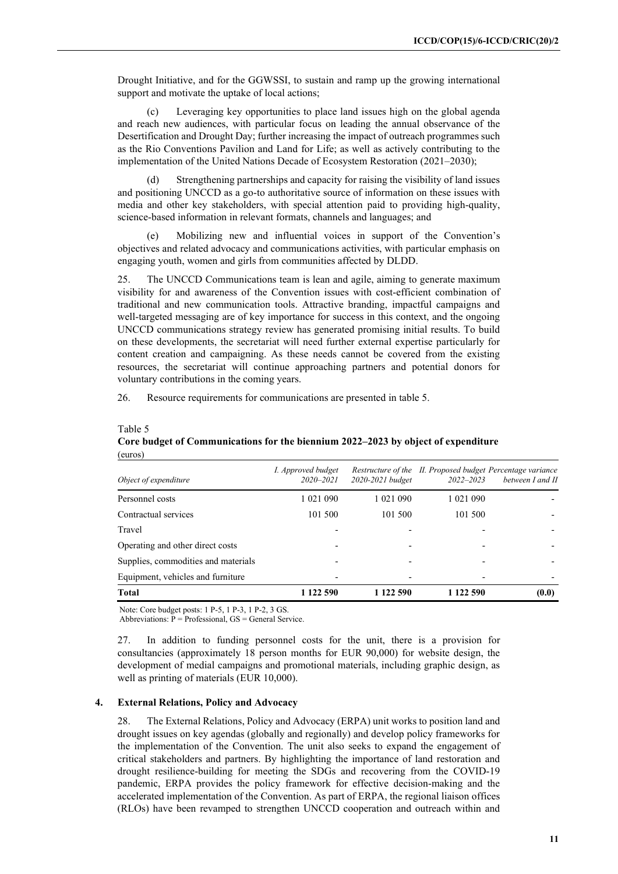Drought Initiative, and for the GGWSSI, to sustain and ramp up the growing international support and motivate the uptake of local actions;

(c) Leveraging key opportunities to place land issues high on the global agenda and reach new audiences, with particular focus on leading the annual observance of the Desertification and Drought Day; further increasing the impact of outreach programmes such as the Rio Conventions Pavilion and Land for Life; as well as actively contributing to the implementation of the United Nations Decade of Ecosystem Restoration (2021–2030);

Strengthening partnerships and capacity for raising the visibility of land issues and positioning UNCCD as a go-to authoritative source of information on these issues with media and other key stakeholders, with special attention paid to providing high-quality, science-based information in relevant formats, channels and languages; and

(e) Mobilizing new and influential voices in support of the Convention's objectives and related advocacy and communications activities, with particular emphasis on engaging youth, women and girls from communities affected by DLDD.

25. The UNCCD Communications team is lean and agile, aiming to generate maximum visibility for and awareness of the Convention issues with cost-efficient combination of traditional and new communication tools. Attractive branding, impactful campaigns and well-targeted messaging are of key importance for success in this context, and the ongoing UNCCD communications strategy review has generated promising initial results. To build on these developments, the secretariat will need further external expertise particularly for content creation and campaigning. As these needs cannot be covered from the existing resources, the secretariat will continue approaching partners and potential donors for voluntary contributions in the coming years.

26. Resource requirements for communications are presented in table 5.

#### Table 5

#### **Core budget of Communications for the biennium 2022–2023 by object of expenditure**  (euros)

| Object of expenditure               | I. Approved budget<br>$2020 - 2021$ | 2020-2021 budget | $2022 - 2023$ | Restructure of the II. Proposed budget Percentage variance<br>between I and II |
|-------------------------------------|-------------------------------------|------------------|---------------|--------------------------------------------------------------------------------|
| Personnel costs                     | 1 0 2 1 0 9 0                       | 1 0 2 1 0 9 0    | 1 0 2 1 0 9 0 |                                                                                |
| Contractual services                | 101 500                             | 101 500          | 101 500       |                                                                                |
| Travel                              |                                     |                  |               |                                                                                |
| Operating and other direct costs    |                                     |                  |               |                                                                                |
| Supplies, commodities and materials |                                     |                  |               |                                                                                |
| Equipment, vehicles and furniture   |                                     |                  |               |                                                                                |
| Total                               | 1 122 590                           | 1 122 590        | 1 122 590     | (0.0)                                                                          |

Note: Core budget posts: 1 P-5, 1 P-3, 1 P-2, 3 GS.

Abbreviations: P = Professional, GS = General Service.

27. In addition to funding personnel costs for the unit, there is a provision for consultancies (approximately 18 person months for EUR 90,000) for website design, the development of medial campaigns and promotional materials, including graphic design, as well as printing of materials (EUR 10,000).

#### **4. External Relations, Policy and Advocacy**

28. The External Relations, Policy and Advocacy (ERPA) unit works to position land and drought issues on key agendas (globally and regionally) and develop policy frameworks for the implementation of the Convention. The unit also seeks to expand the engagement of critical stakeholders and partners. By highlighting the importance of land restoration and drought resilience-building for meeting the SDGs and recovering from the COVID-19 pandemic, ERPA provides the policy framework for effective decision-making and the accelerated implementation of the Convention. As part of ERPA, the regional liaison offices (RLOs) have been revamped to strengthen UNCCD cooperation and outreach within and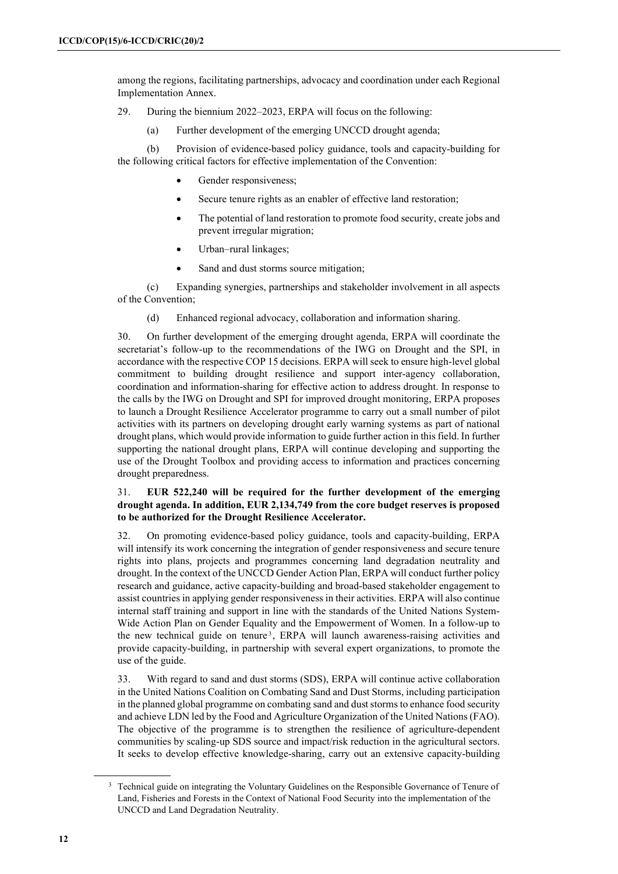among the regions, facilitating partnerships, advocacy and coordination under each Regional Implementation Annex.

29. During the biennium 2022–2023, ERPA will focus on the following:

(a) Further development of the emerging UNCCD drought agenda;

(b) Provision of evidence-based policy guidance, tools and capacity-building for the following critical factors for effective implementation of the Convention:

- Gender responsiveness;
- Secure tenure rights as an enabler of effective land restoration;
- The potential of land restoration to promote food security, create jobs and prevent irregular migration;
- Urban-rural linkages;
- Sand and dust storms source mitigation;

(c) Expanding synergies, partnerships and stakeholder involvement in all aspects of the Convention;

(d) Enhanced regional advocacy, collaboration and information sharing.

30. On further development of the emerging drought agenda, ERPA will coordinate the secretariat's follow-up to the recommendations of the IWG on Drought and the SPI, in accordance with the respective COP 15 decisions. ERPA will seek to ensure high-level global commitment to building drought resilience and support inter-agency collaboration, coordination and information-sharing for effective action to address drought. In response to the calls by the IWG on Drought and SPI for improved drought monitoring, ERPA proposes to launch a Drought Resilience Accelerator programme to carry out a small number of pilot activities with its partners on developing drought early warning systems as part of national drought plans, which would provide information to guide further action in this field. In further supporting the national drought plans, ERPA will continue developing and supporting the use of the Drought Toolbox and providing access to information and practices concerning drought preparedness.

#### 31. **EUR 522,240 will be required for the further development of the emerging drought agenda. In addition, EUR 2,134,749 from the core budget reserves is proposed to be authorized for the Drought Resilience Accelerator.**

32. On promoting evidence-based policy guidance, tools and capacity-building, ERPA will intensify its work concerning the integration of gender responsiveness and secure tenure rights into plans, projects and programmes concerning land degradation neutrality and drought. In the context of the UNCCD Gender Action Plan, ERPA will conduct further policy research and guidance, active capacity-building and broad-based stakeholder engagement to assist countries in applying gender responsiveness in their activities. ERPA will also continue internal staff training and support in line with the standards of the United Nations System-Wide Action Plan on Gender Equality and the Empowerment of Women. In a follow-up to the new technical guide on tenure<sup>[3](#page-11-0)</sup>, ERPA will launch awareness-raising activities and provide capacity-building, in partnership with several expert organizations, to promote the use of the guide.

33. With regard to sand and dust storms (SDS), ERPA will continue active collaboration in the United Nations Coalition on Combating Sand and Dust Storms, including participation in the planned global programme on combating sand and duststorms to enhance food security and achieve LDN led by the Food and Agriculture Organization of the United Nations(FAO). The objective of the programme is to strengthen the resilience of agriculture-dependent communities by scaling-up SDS source and impact/risk reduction in the agricultural sectors. It seeks to develop effective knowledge-sharing, carry out an extensive capacity-building

<span id="page-11-0"></span><sup>&</sup>lt;sup>3</sup> Technical guide on integrating the Voluntary Guidelines on the Responsible Governance of Tenure of Land, Fisheries and Forests in the Context of National Food Security into the implementation of the UNCCD and Land Degradation Neutrality.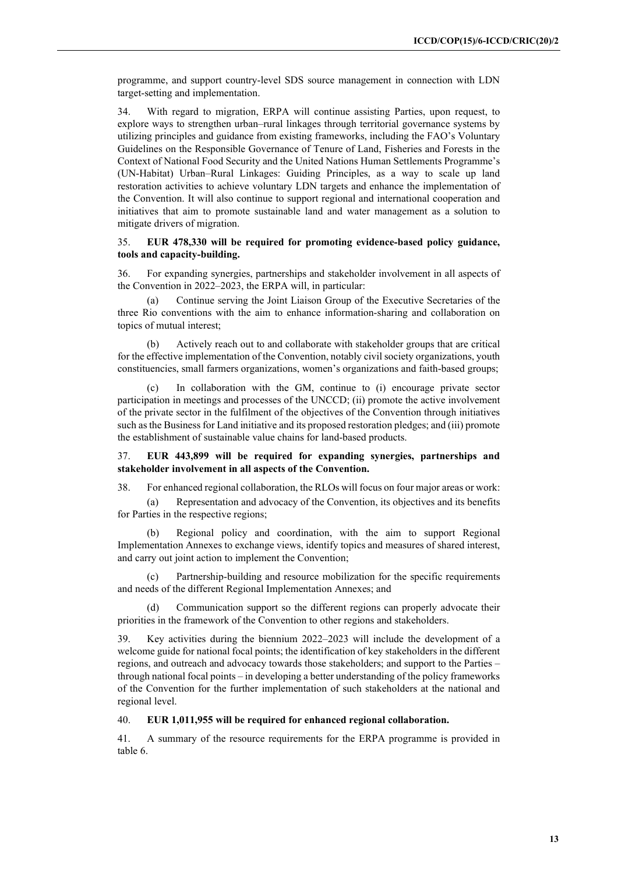programme, and support country-level SDS source management in connection with LDN target-setting and implementation.

34. With regard to migration, ERPA will continue assisting Parties, upon request, to explore ways to strengthen urban–rural linkages through territorial governance systems by utilizing principles and guidance from existing frameworks, including the FAO's Voluntary Guidelines on the Responsible Governance of Tenure of Land, Fisheries and Forests in the Context of National Food Security and the United Nations Human Settlements Programme's (UN-Habitat) Urban–Rural Linkages: Guiding Principles, as a way to scale up land restoration activities to achieve voluntary LDN targets and enhance the implementation of the Convention. It will also continue to support regional and international cooperation and initiatives that aim to promote sustainable land and water management as a solution to mitigate drivers of migration.

#### 35. **EUR 478,330 will be required for promoting evidence-based policy guidance, tools and capacity-building.**

36. For expanding synergies, partnerships and stakeholder involvement in all aspects of the Convention in 2022–2023, the ERPA will, in particular:

(a) Continue serving the Joint Liaison Group of the Executive Secretaries of the three Rio conventions with the aim to enhance information-sharing and collaboration on topics of mutual interest;

(b) Actively reach out to and collaborate with stakeholder groups that are critical for the effective implementation of the Convention, notably civil society organizations, youth constituencies, small farmers organizations, women's organizations and faith-based groups;

In collaboration with the GM, continue to  $(i)$  encourage private sector participation in meetings and processes of the UNCCD; (ii) promote the active involvement of the private sector in the fulfilment of the objectives of the Convention through initiatives such as the Business for Land initiative and its proposed restoration pledges; and (iii) promote the establishment of sustainable value chains for land-based products.

#### 37. **EUR 443,899 will be required for expanding synergies, partnerships and stakeholder involvement in all aspects of the Convention.**

38. For enhanced regional collaboration, the RLOs will focus on four major areas or work:

(a) Representation and advocacy of the Convention, its objectives and its benefits for Parties in the respective regions;

Regional policy and coordination, with the aim to support Regional Implementation Annexes to exchange views, identify topics and measures of shared interest, and carry out joint action to implement the Convention;

(c) Partnership-building and resource mobilization for the specific requirements and needs of the different Regional Implementation Annexes; and

(d) Communication support so the different regions can properly advocate their priorities in the framework of the Convention to other regions and stakeholders.

39. Key activities during the biennium 2022–2023 will include the development of a welcome guide for national focal points; the identification of key stakeholders in the different regions, and outreach and advocacy towards those stakeholders; and support to the Parties – through national focal points – in developing a better understanding of the policy frameworks of the Convention for the further implementation of such stakeholders at the national and regional level.

#### 40. **EUR 1,011,955 will be required for enhanced regional collaboration.**

41. A summary of the resource requirements for the ERPA programme is provided in table 6.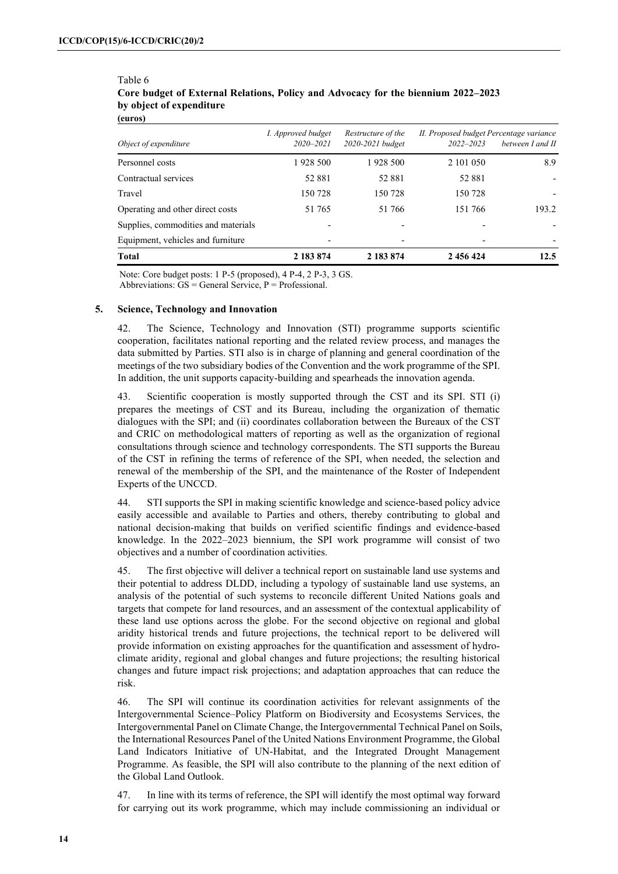| 1928 500<br>1928 500<br>52881<br>52 881<br>150 728<br>150 728<br>51 765<br>51 766 | 2 101 050<br>52 881<br>150 728<br>151 766 | between I and II<br>8.9<br>193.2                              |
|-----------------------------------------------------------------------------------|-------------------------------------------|---------------------------------------------------------------|
|                                                                                   |                                           |                                                               |
|                                                                                   |                                           |                                                               |
|                                                                                   |                                           |                                                               |
|                                                                                   |                                           |                                                               |
|                                                                                   |                                           |                                                               |
|                                                                                   |                                           |                                                               |
| I. Approved budget<br>$2020 - 2021$<br>2020-2021 budget                           | $2022 - 2023$                             |                                                               |
|                                                                                   |                                           | II. Proposed budget Percentage variance<br>Restructure of the |

## Table 6 **Core budget of External Relations, Policy and Advocacy for the biennium 2022–2023 by object of expenditure**

Note: Core budget posts: 1 P-5 (proposed), 4 P-4, 2 P-3, 3 GS.

Abbreviations:  $GS = General Service$ ,  $P = Professional$ .

#### **5. Science, Technology and Innovation**

42. The Science, Technology and Innovation (STI) programme supports scientific cooperation, facilitates national reporting and the related review process, and manages the data submitted by Parties. STI also is in charge of planning and general coordination of the meetings of the two subsidiary bodies of the Convention and the work programme of the SPI. In addition, the unit supports capacity-building and spearheads the innovation agenda.

43. Scientific cooperation is mostly supported through the CST and its SPI. STI (i) prepares the meetings of CST and its Bureau, including the organization of thematic dialogues with the SPI; and (ii) coordinates collaboration between the Bureaux of the CST and CRIC on methodological matters of reporting as well as the organization of regional consultations through science and technology correspondents. The STI supports the Bureau of the CST in refining the terms of reference of the SPI, when needed, the selection and renewal of the membership of the SPI, and the maintenance of the Roster of Independent Experts of the UNCCD.

44. STI supports the SPI in making scientific knowledge and science-based policy advice easily accessible and available to Parties and others, thereby contributing to global and national decision-making that builds on verified scientific findings and evidence-based knowledge. In the 2022–2023 biennium, the SPI work programme will consist of two objectives and a number of coordination activities.

45. The first objective will deliver a technical report on sustainable land use systems and their potential to address DLDD, including a typology of sustainable land use systems, an analysis of the potential of such systems to reconcile different United Nations goals and targets that compete for land resources, and an assessment of the contextual applicability of these land use options across the globe. For the second objective on regional and global aridity historical trends and future projections, the technical report to be delivered will provide information on existing approaches for the quantification and assessment of hydroclimate aridity, regional and global changes and future projections; the resulting historical changes and future impact risk projections; and adaptation approaches that can reduce the risk.

46. The SPI will continue its coordination activities for relevant assignments of the Intergovernmental Science–Policy Platform on Biodiversity and Ecosystems Services, the Intergovernmental Panel on Climate Change, the Intergovernmental Technical Panel on Soils, the International Resources Panel of the United Nations Environment Programme, the Global Land Indicators Initiative of UN-Habitat, and the Integrated Drought Management Programme. As feasible, the SPI will also contribute to the planning of the next edition of the Global Land Outlook.

47. In line with its terms of reference, the SPI will identify the most optimal way forward for carrying out its work programme, which may include commissioning an individual or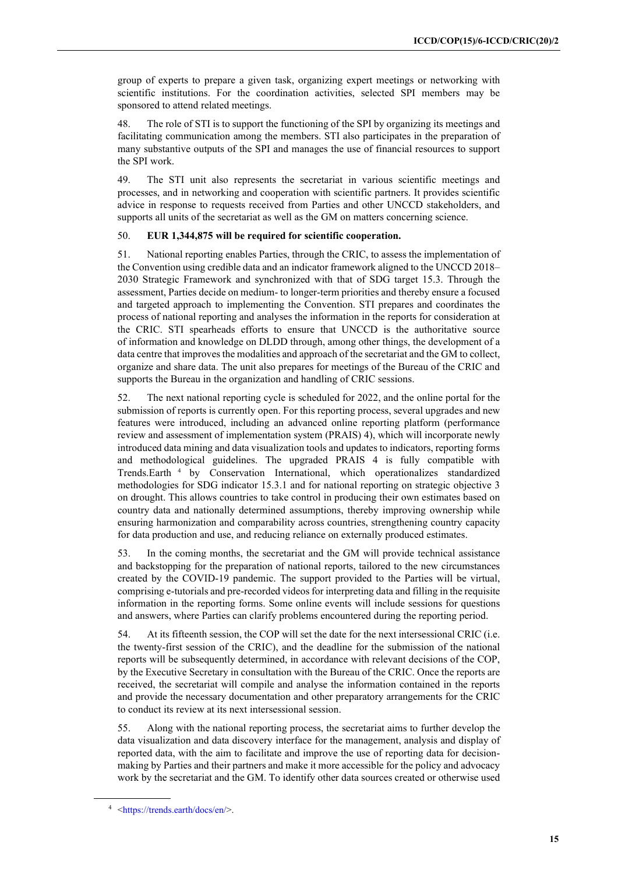group of experts to prepare a given task, organizing expert meetings or networking with scientific institutions. For the coordination activities, selected SPI members may be sponsored to attend related meetings.

48. The role of STI is to support the functioning of the SPI by organizing its meetings and facilitating communication among the members. STI also participates in the preparation of many substantive outputs of the SPI and manages the use of financial resources to support the SPI work.

49. The STI unit also represents the secretariat in various scientific meetings and processes, and in networking and cooperation with scientific partners. It provides scientific advice in response to requests received from Parties and other UNCCD stakeholders, and supports all units of the secretariat as well as the GM on matters concerning science.

#### 50. **EUR 1,344,875 will be required for scientific cooperation.**

51. National reporting enables Parties, through the CRIC, to assess the implementation of the Convention using credible data and an indicator framework aligned to the UNCCD 2018– 2030 Strategic Framework and synchronized with that of SDG target 15.3. Through the assessment, Parties decide on medium- to longer-term priorities and thereby ensure a focused and targeted approach to implementing the Convention. STI prepares and coordinates the process of national reporting and analyses the information in the reports for consideration at the CRIC. STI spearheads efforts to ensure that UNCCD is the authoritative source of information and knowledge on DLDD through, among other things, the development of a data centre that improvesthe modalities and approach of the secretariat and the GM to collect, organize and share data. The unit also prepares for meetings of the Bureau of the CRIC and supports the Bureau in the organization and handling of CRIC sessions.

52. The next national reporting cycle is scheduled for 2022, and the online portal for the submission of reports is currently open. For this reporting process, several upgrades and new features were introduced, including an advanced online reporting platform (performance review and assessment of implementation system (PRAIS) 4), which will incorporate newly introduced data mining and data visualization tools and updates to indicators, reporting forms and methodological guidelines. The upgraded PRAIS 4 is fully compatible with Trends.Earth<sup>[4](#page-14-0)</sup> by Conservation International, which operationalizes standardized methodologies for SDG indicator 15.3.1 and for national reporting on strategic objective 3 on drought. This allows countries to take control in producing their own estimates based on country data and nationally determined assumptions, thereby improving ownership while ensuring harmonization and comparability across countries, strengthening country capacity for data production and use, and reducing reliance on externally produced estimates.

53. In the coming months, the secretariat and the GM will provide technical assistance and backstopping for the preparation of national reports, tailored to the new circumstances created by the COVID-19 pandemic. The support provided to the Parties will be virtual, comprising e-tutorials and pre-recorded videos for interpreting data and filling in the requisite information in the reporting forms. Some online events will include sessions for questions and answers, where Parties can clarify problems encountered during the reporting period.

54. At its fifteenth session, the COP will set the date for the next intersessional CRIC (i.e. the twenty-first session of the CRIC), and the deadline for the submission of the national reports will be subsequently determined, in accordance with relevant decisions of the COP, by the Executive Secretary in consultation with the Bureau of the CRIC. Once the reports are received, the secretariat will compile and analyse the information contained in the reports and provide the necessary documentation and other preparatory arrangements for the CRIC to conduct its review at its next intersessional session.

55. Along with the national reporting process, the secretariat aims to further develop the data visualization and data discovery interface for the management, analysis and display of reported data, with the aim to facilitate and improve the use of reporting data for decisionmaking by Parties and their partners and make it more accessible for the policy and advocacy work by the secretariat and the GM. To identify other data sources created or otherwise used

<span id="page-14-0"></span><sup>4</sup> [<https://trends.earth/docs/en/>](https://trends.earth/docs/en/).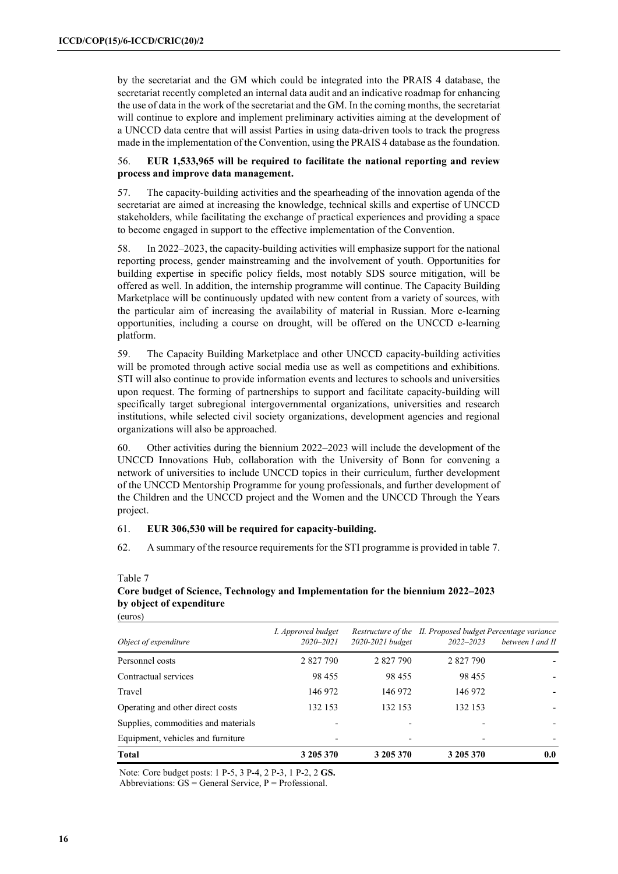by the secretariat and the GM which could be integrated into the PRAIS 4 database, the secretariat recently completed an internal data audit and an indicative roadmap for enhancing the use of data in the work of the secretariat and the GM. In the coming months, the secretariat will continue to explore and implement preliminary activities aiming at the development of a UNCCD data centre that will assist Parties in using data-driven tools to track the progress made in the implementation of the Convention, using the PRAIS 4 database as the foundation.

#### 56. **EUR 1,533,965 will be required to facilitate the national reporting and review process and improve data management.**

57. The capacity-building activities and the spearheading of the innovation agenda of the secretariat are aimed at increasing the knowledge, technical skills and expertise of UNCCD stakeholders, while facilitating the exchange of practical experiences and providing a space to become engaged in support to the effective implementation of the Convention.

58. In 2022–2023, the capacity-building activities will emphasize support for the national reporting process, gender mainstreaming and the involvement of youth. Opportunities for building expertise in specific policy fields, most notably SDS source mitigation, will be offered as well. In addition, the internship programme will continue. The Capacity Building Marketplace will be continuously updated with new content from a variety of sources, with the particular aim of increasing the availability of material in Russian. More e-learning opportunities, including a course on drought, will be offered on the UNCCD e-learning platform.

59. The Capacity Building Marketplace and other UNCCD capacity-building activities will be promoted through active social media use as well as competitions and exhibitions. STI will also continue to provide information events and lectures to schools and universities upon request. The forming of partnerships to support and facilitate capacity-building will specifically target subregional intergovernmental organizations, universities and research institutions, while selected civil society organizations, development agencies and regional organizations will also be approached.

60. Other activities during the biennium 2022–2023 will include the development of the UNCCD Innovations Hub, collaboration with the University of Bonn for convening a network of universities to include UNCCD topics in their curriculum, further development of the UNCCD Mentorship Programme for young professionals, and further development of the Children and the UNCCD project and the Women and the UNCCD Through the Years project.

### 61. **EUR 306,530 will be required for capacity-building.**

62. A summary of the resource requirements for the STI programme is provided in table 7.

#### Table 7 **Core budget of Science, Technology and Implementation for the biennium 2022–2023 by object of expenditure**

| Supplies, commodities and materials<br>Equipment, vehicles and furniture |                                     |                  |               |                                                                                |
|--------------------------------------------------------------------------|-------------------------------------|------------------|---------------|--------------------------------------------------------------------------------|
| Operating and other direct costs                                         | 132 153                             | 132 153          | 132 153       |                                                                                |
| Travel                                                                   | 146 972                             | 146 972          | 146 972       |                                                                                |
| Contractual services                                                     | 98 455                              | 98 455           | 98 455        |                                                                                |
| Personnel costs                                                          | 2 827 790                           | 2 827 790        | 2 827 790     |                                                                                |
| Object of expenditure                                                    | I. Approved budget<br>$2020 - 2021$ | 2020-2021 budget | $2022 - 2023$ | Restructure of the II. Proposed budget Percentage variance<br>between I and II |

Note: Core budget posts: 1 P-5, 3 P-4, 2 P-3, 1 P-2, 2 **GS.** Abbreviations:  $GS = General Service$ ,  $P = Professional$ .

(euros)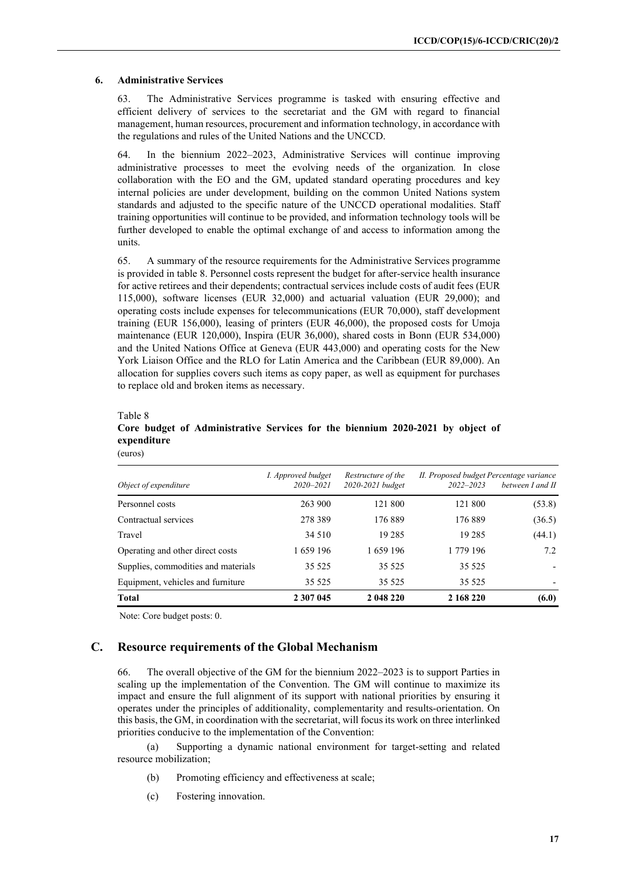#### **6. Administrative Services**

63. The Administrative Services programme is tasked with ensuring effective and efficient delivery of services to the secretariat and the GM with regard to financial management, human resources, procurement and information technology, in accordance with the regulations and rules of the United Nations and the UNCCD.

64. In the biennium 2022–2023, Administrative Services will continue improving administrative processes to meet the evolving needs of the organization*.* In close collaboration with the EO and the GM, updated standard operating procedures and key internal policies are under development, building on the common United Nations system standards and adjusted to the specific nature of the UNCCD operational modalities. Staff training opportunities will continue to be provided, and information technology tools will be further developed to enable the optimal exchange of and access to information among the units.

65. A summary of the resource requirements for the Administrative Services programme is provided in table 8. Personnel costs represent the budget for after-service health insurance for active retirees and their dependents; contractual services include costs of audit fees (EUR 115,000), software licenses (EUR 32,000) and actuarial valuation (EUR 29,000); and operating costs include expenses for telecommunications (EUR 70,000), staff development training (EUR 156,000), leasing of printers (EUR 46,000), the proposed costs for Umoja maintenance (EUR 120,000), Inspira (EUR 36,000), shared costs in Bonn (EUR 534,000) and the United Nations Office at Geneva (EUR 443,000) and operating costs for the New York Liaison Office and the RLO for Latin America and the Caribbean (EUR 89,000). An allocation for supplies covers such items as copy paper, as well as equipment for purchases to replace old and broken items as necessary.

#### Table 8

(euros)

## **Core budget of Administrative Services for the biennium 2020-2021 by object of expenditure**

| Object of expenditure               | <i>I. Approved budget</i><br>2020-2021 | Restructure of the<br>2020-2021 budget | II. Proposed budget Percentage variance<br>$2022 - 2023$ | between I and II |
|-------------------------------------|----------------------------------------|----------------------------------------|----------------------------------------------------------|------------------|
| Personnel costs                     | 263 900                                | 121 800                                | 121 800                                                  | (53.8)           |
| Contractual services                | 278 389                                | 176889                                 | 176889                                                   | (36.5)           |
| Travel                              | 34 5 10                                | 19 2 8 5                               | 19 2 8 5                                                 | (44.1)           |
| Operating and other direct costs    | 1659 196                               | 1659 196                               | 1 779 196                                                | 7.2              |
| Supplies, commodities and materials | 35 5 25                                | 35 5 25                                | 35 5 25                                                  |                  |
| Equipment, vehicles and furniture   | 35 5 25                                | 35 5 25                                | 35 5 25                                                  |                  |
| <b>Total</b>                        | 2 307 045                              | 2 048 220                              | 2 168 220                                                | (6.0)            |

Note: Core budget posts: 0.

## **C. Resource requirements of the Global Mechanism**

66. The overall objective of the GM for the biennium 2022–2023 is to support Parties in scaling up the implementation of the Convention. The GM will continue to maximize its impact and ensure the full alignment of its support with national priorities by ensuring it operates under the principles of additionality, complementarity and results-orientation. On this basis, the GM, in coordination with the secretariat, will focus its work on three interlinked priorities conducive to the implementation of the Convention:

(a) Supporting a dynamic national environment for target-setting and related resource mobilization;

- (b) Promoting efficiency and effectiveness at scale;
- (c) Fostering innovation.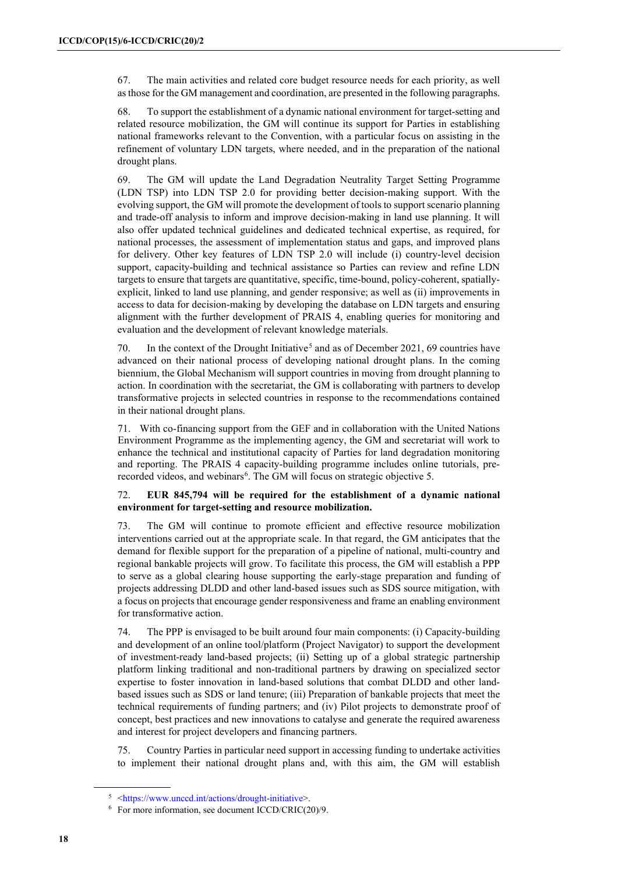67. The main activities and related core budget resource needs for each priority, as well as those for the GM management and coordination, are presented in the following paragraphs.

68. To support the establishment of a dynamic national environment for target-setting and related resource mobilization, the GM will continue its support for Parties in establishing national frameworks relevant to the Convention, with a particular focus on assisting in the refinement of voluntary LDN targets, where needed, and in the preparation of the national drought plans.

69. The GM will update the Land Degradation Neutrality Target Setting Programme (LDN TSP) into LDN TSP 2.0 for providing better decision-making support. With the evolving support, the GM will promote the development of tools to support scenario planning and trade-off analysis to inform and improve decision-making in land use planning. It will also offer updated technical guidelines and dedicated technical expertise, as required, for national processes, the assessment of implementation status and gaps, and improved plans for delivery. Other key features of LDN TSP 2.0 will include (i) country-level decision support, capacity-building and technical assistance so Parties can review and refine LDN targets to ensure that targets are quantitative, specific, time-bound, policy-coherent, spatiallyexplicit, linked to land use planning, and gender responsive; as well as (ii) improvements in access to data for decision-making by developing the database on LDN targets and ensuring alignment with the further development of PRAIS 4, enabling queries for monitoring and evaluation and the development of relevant knowledge materials.

70. In the context of the Drought Initiative<sup>[5](#page-17-0)</sup> and as of December 2021, 69 countries have advanced on their national process of developing national drought plans. In the coming biennium, the Global Mechanism will support countries in moving from drought planning to action. In coordination with the secretariat, the GM is collaborating with partners to develop transformative projects in selected countries in response to the recommendations contained in their national drought plans.

71. With co-financing support from the GEF and in collaboration with the United Nations Environment Programme as the implementing agency, the GM and secretariat will work to enhance the technical and institutional capacity of Parties for land degradation monitoring and reporting. The PRAIS 4 capacity-building programme includes online tutorials, pre-recorded videos, and webinars<sup>[6](#page-17-1)</sup>. The GM will focus on strategic objective 5.

#### 72. **EUR 845,794 will be required for the establishment of a dynamic national environment for target-setting and resource mobilization.**

73. The GM will continue to promote efficient and effective resource mobilization interventions carried out at the appropriate scale. In that regard, the GM anticipates that the demand for flexible support for the preparation of a pipeline of national, multi-country and regional bankable projects will grow. To facilitate this process, the GM will establish a PPP to serve as a global clearing house supporting the early-stage preparation and funding of projects addressing DLDD and other land-based issues such as SDS source mitigation, with a focus on projects that encourage gender responsiveness and frame an enabling environment for transformative action.

74. The PPP is envisaged to be built around four main components: (i) Capacity-building and development of an online tool/platform (Project Navigator) to support the development of investment-ready land-based projects; (ii) Setting up of a global strategic partnership platform linking traditional and non-traditional partners by drawing on specialized sector expertise to foster innovation in land-based solutions that combat DLDD and other landbased issues such as SDS or land tenure; (iii) Preparation of bankable projects that meet the technical requirements of funding partners; and (iv) Pilot projects to demonstrate proof of concept, best practices and new innovations to catalyse and generate the required awareness and interest for project developers and financing partners.

75. Country Parties in particular need support in accessing funding to undertake activities to implement their national drought plans and, with this aim, the GM will establish

<span id="page-17-1"></span><span id="page-17-0"></span><sup>5</sup> [<https://www.unccd.int/actions/drought-initiative>](https://www.unccd.int/actions/drought-initiative).

 $6$  For more information, see document ICCD/CRIC(20)/9.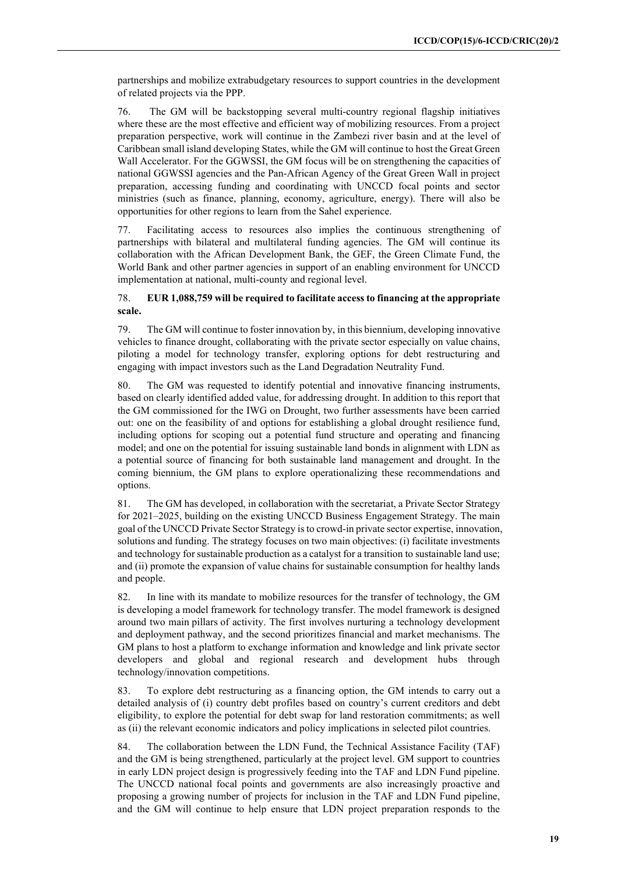partnerships and mobilize extrabudgetary resources to support countries in the development of related projects via the PPP.

76. The GM will be backstopping several multi-country regional flagship initiatives where these are the most effective and efficient way of mobilizing resources. From a project preparation perspective, work will continue in the Zambezi river basin and at the level of Caribbean small island developing States, while the GM will continue to host the Great Green Wall Accelerator. For the GGWSSI, the GM focus will be on strengthening the capacities of national GGWSSI agencies and the Pan-African Agency of the Great Green Wall in project preparation, accessing funding and coordinating with UNCCD focal points and sector ministries (such as finance, planning, economy, agriculture, energy). There will also be opportunities for other regions to learn from the Sahel experience.

77. Facilitating access to resources also implies the continuous strengthening of partnerships with bilateral and multilateral funding agencies. The GM will continue its collaboration with the African Development Bank, the GEF, the Green Climate Fund, the World Bank and other partner agencies in support of an enabling environment for UNCCD implementation at national, multi-county and regional level.

#### 78. **EUR 1,088,759 will be required to facilitate access to financing at the appropriate scale.**

79. The GM will continue to foster innovation by, in this biennium, developing innovative vehicles to finance drought, collaborating with the private sector especially on value chains, piloting a model for technology transfer, exploring options for debt restructuring and engaging with impact investors such as the Land Degradation Neutrality Fund.

80. The GM was requested to identify potential and innovative financing instruments, based on clearly identified added value, for addressing drought. In addition to this report that the GM commissioned for the IWG on Drought, two further assessments have been carried out: one on the feasibility of and options for establishing a global drought resilience fund, including options for scoping out a potential fund structure and operating and financing model; and one on the potential for issuing sustainable land bonds in alignment with LDN as a potential source of financing for both sustainable land management and drought. In the coming biennium, the GM plans to explore operationalizing these recommendations and options.

81. The GM has developed, in collaboration with the secretariat, a Private Sector Strategy for 2021–2025, building on the existing [UNCCD Business Engagement Strategy.](https://docplayer.net/14762998-The-unccd-business-partnership-opportunities-for-sustainable-land-management.html) The main goal of the UNCCD Private Sector Strategy is to crowd-in private sector expertise, innovation, solutions and funding. The strategy focuses on two main objectives: (i) facilitate investments and technology for sustainable production as a catalyst for a transition to sustainable land use; and (ii) promote the expansion of value chains for sustainable consumption for healthy lands and people.

82. In line with its mandate to mobilize resources for the transfer of technology, the GM is developing a model framework for technology transfer. The model framework is designed around two main pillars of activity. The first involves nurturing a technology development and deployment pathway, and the second prioritizes financial and market mechanisms. The GM plans to host a platform to exchange information and knowledge and link private sector developers and global and regional research and development hubs through technology/innovation competitions.

83. To explore debt restructuring as a financing option, the GM intends to carry out a detailed analysis of (i) country debt profiles based on country's current creditors and debt eligibility, to explore the potential for debt swap for land restoration commitments; as well as (ii) the relevant economic indicators and policy implications in selected pilot countries.

84. The collaboration between the LDN Fund, the Technical Assistance Facility (TAF) and the GM is being strengthened, particularly at the project level. GM support to countries in early LDN project design is progressively feeding into the TAF and LDN Fund pipeline. The UNCCD national focal points and governments are also increasingly proactive and proposing a growing number of projects for inclusion in the TAF and LDN Fund pipeline, and the GM will continue to help ensure that LDN project preparation responds to the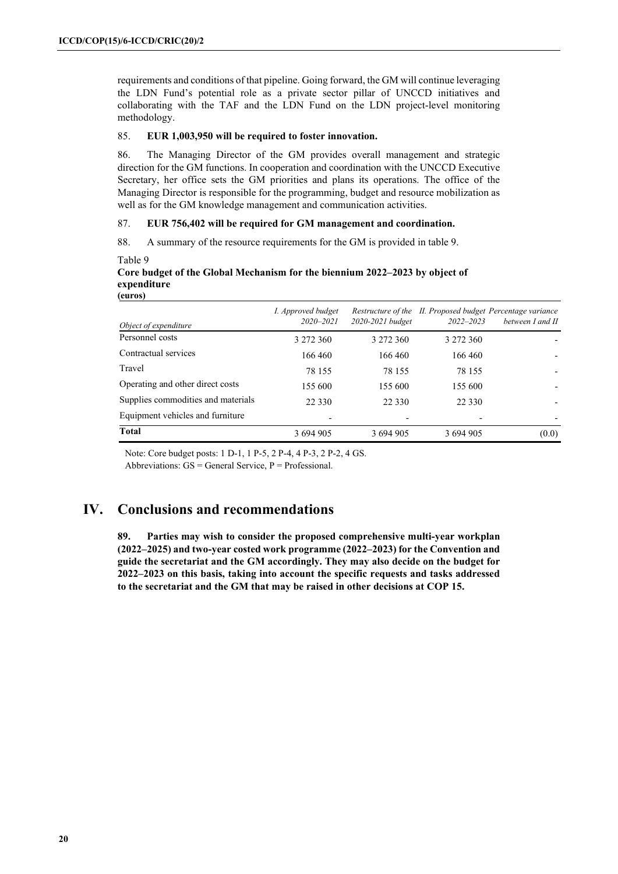requirements and conditions of that pipeline. Going forward, the GM will continue leveraging the LDN Fund's potential role as a private sector pillar of UNCCD initiatives and collaborating with the TAF and the LDN Fund on the LDN project-level monitoring methodology.

#### 85. **EUR 1,003,950 will be required to foster innovation.**

86. The Managing Director of the GM provides overall management and strategic direction for the GM functions. In cooperation and coordination with the UNCCD Executive Secretary, her office sets the GM priorities and plans its operations. The office of the Managing Director is responsible for the programming, budget and resource mobilization as well as for the GM knowledge management and communication activities.

#### 87. **EUR 756,402 will be required for GM management and coordination.**

88. A summary of the resource requirements for the GM is provided in table 9.

Table 9

#### **Core budget of the Global Mechanism for the biennium 2022–2023 by object of expenditure (euros)**

| Object of expenditure              | I. Approved budget<br>$2020 - 2021$ | 2020-2021 budget | $2022 - 2023$ | Restructure of the II. Proposed budget Percentage variance<br>between I and II |
|------------------------------------|-------------------------------------|------------------|---------------|--------------------------------------------------------------------------------|
| Personnel costs                    | 3 272 360                           | 3 272 360        | 3 272 360     |                                                                                |
| Contractual services               | 166 460                             | 166 460          | 166 460       |                                                                                |
| Travel                             | 78 155                              | 78 155           | 78 155        |                                                                                |
| Operating and other direct costs   | 155 600                             | 155 600          | 155 600       |                                                                                |
| Supplies commodities and materials | 22 3 3 0                            | 22 330           | 22 3 3 0      |                                                                                |
| Equipment vehicles and furniture   |                                     |                  |               |                                                                                |
| Total                              | 3 694 905                           | 3 694 905        | 3 694 905     | (0.0)                                                                          |

Note: Core budget posts: 1 D-1, 1 P-5, 2 P-4, 4 P-3, 2 P-2, 4 GS. Abbreviations:  $GS = General Service$ ,  $P = Professional$ .

# **IV. Conclusions and recommendations**

**89. Parties may wish to consider the proposed comprehensive multi-year workplan (2022–2025) and two-year costed work programme (2022–2023) for the Convention and guide the secretariat and the GM accordingly. They may also decide on the budget for 2022–2023 on this basis, taking into account the specific requests and tasks addressed to the secretariat and the GM that may be raised in other decisions at COP 15.**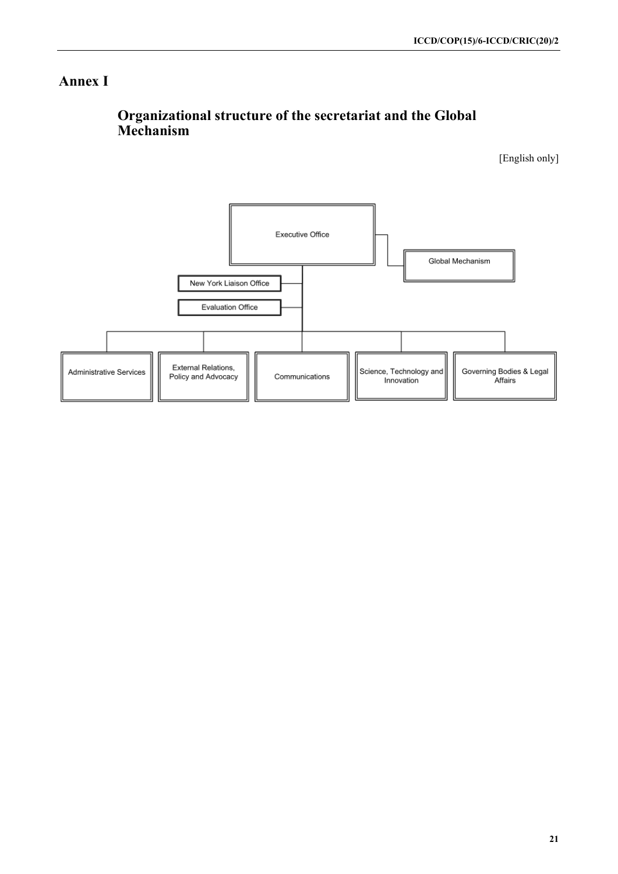## **Annex I**

# **Organizational structure of the secretariat and the Global Mechanism**

[English only]